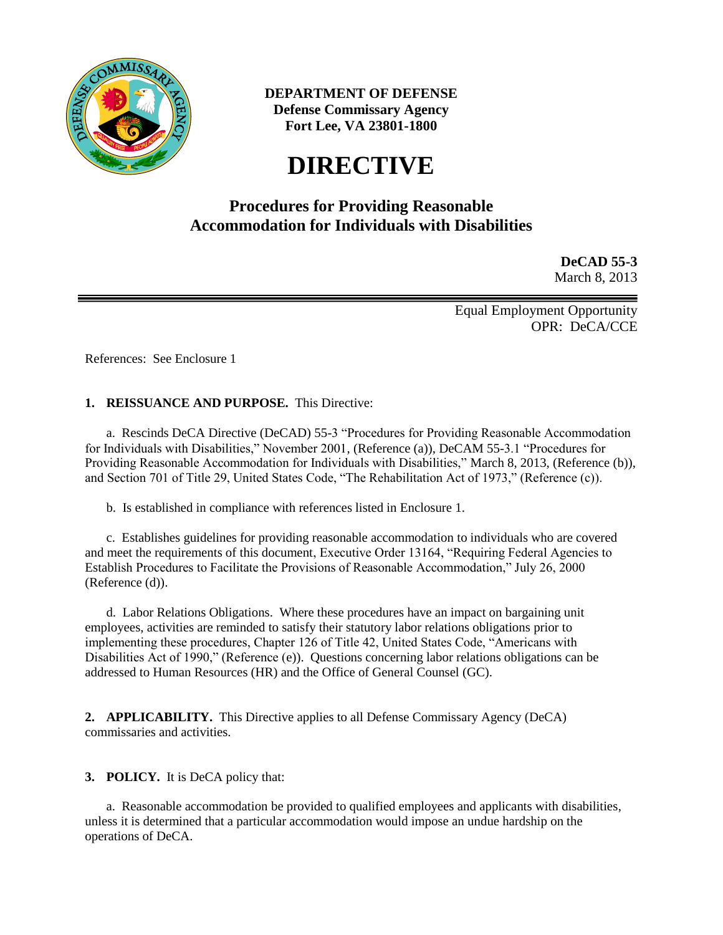

**DEPARTMENT OF DEFENSE Defense Commissary Agency Fort Lee, VA 23801-1800**

# **DIRECTIVE**

# **Procedures for Providing Reasonable Accommodation for Individuals with Disabilities**

**DeCAD 55-3** March 8, 2013

Equal Employment Opportunity OPR: DeCA/CCE

References: See Enclosure 1

#### **1. REISSUANCE AND PURPOSE.** This Directive:

a. Rescinds DeCA Directive (DeCAD) 55-3 "Procedures for Providing Reasonable Accommodation for Individuals with Disabilities," November 2001, (Reference (a)), DeCAM 55-3.1 "Procedures for Providing Reasonable Accommodation for Individuals with Disabilities," March 8, 2013, (Reference (b)), and Section 701 of Title 29, United States Code, "The Rehabilitation Act of 1973," (Reference (c)).

b. Is established in compliance with references listed in Enclosure 1.

c. Establishes guidelines for providing reasonable accommodation to individuals who are covered and meet the requirements of this document, Executive Order 13164, "Requiring Federal Agencies to Establish Procedures to Facilitate the Provisions of Reasonable Accommodation," July 26, 2000 (Reference (d)).

d. Labor Relations Obligations. Where these procedures have an impact on bargaining unit employees, activities are reminded to satisfy their statutory labor relations obligations prior to implementing these procedures, Chapter 126 of Title 42, United States Code, "Americans with Disabilities Act of 1990," (Reference (e)). Questions concerning labor relations obligations can be addressed to Human Resources (HR) and the Office of General Counsel (GC).

**2. APPLICABILITY.** This Directive applies to all Defense Commissary Agency (DeCA) commissaries and activities.

**3. POLICY.** It is DeCA policy that:

a. Reasonable accommodation be provided to qualified employees and applicants with disabilities, unless it is determined that a particular accommodation would impose an undue hardship on the operations of DeCA.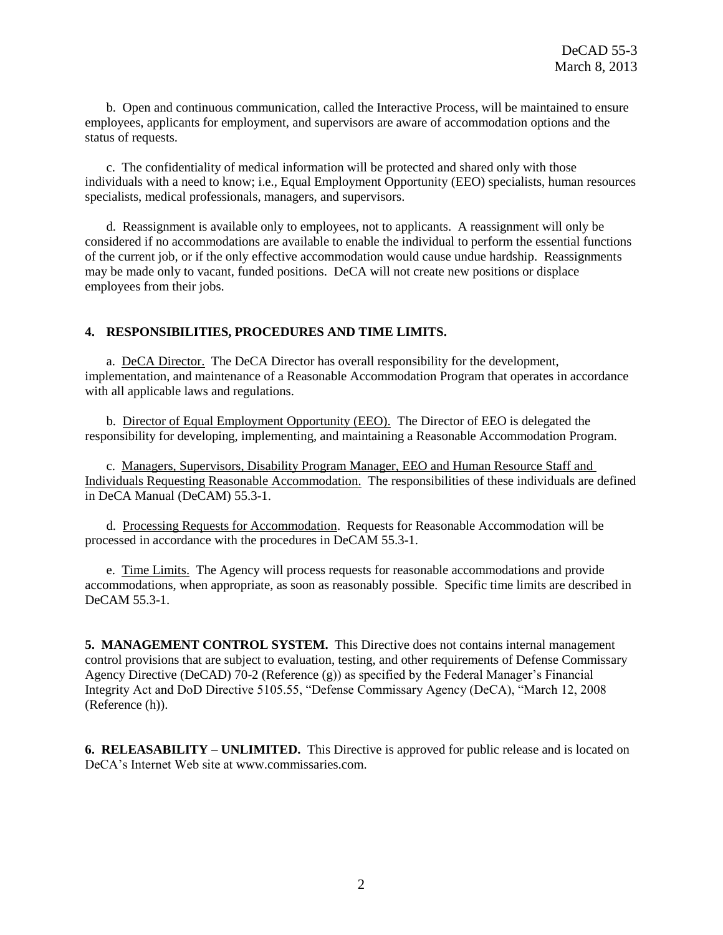b. Open and continuous communication, called the Interactive Process, will be maintained to ensure employees, applicants for employment, and supervisors are aware of accommodation options and the status of requests.

c. The confidentiality of medical information will be protected and shared only with those individuals with a need to know; i.e., Equal Employment Opportunity (EEO) specialists, human resources specialists, medical professionals, managers, and supervisors.

d. Reassignment is available only to employees, not to applicants. A reassignment will only be considered if no accommodations are available to enable the individual to perform the essential functions of the current job, or if the only effective accommodation would cause undue hardship. Reassignments may be made only to vacant, funded positions. DeCA will not create new positions or displace employees from their jobs.

#### **4. RESPONSIBILITIES, PROCEDURES AND TIME LIMITS.**

a. DeCA Director. The DeCA Director has overall responsibility for the development, implementation, and maintenance of a Reasonable Accommodation Program that operates in accordance with all applicable laws and regulations.

b. Director of Equal Employment Opportunity (EEO). The Director of EEO is delegated the responsibility for developing, implementing, and maintaining a Reasonable Accommodation Program.

c. Managers, Supervisors, Disability Program Manager, EEO and Human Resource Staff and Individuals Requesting Reasonable Accommodation. The responsibilities of these individuals are defined in DeCA Manual (DeCAM) 55.3-1.

d. Processing Requests for Accommodation. Requests for Reasonable Accommodation will be processed in accordance with the procedures in DeCAM 55.3-1.

e. Time Limits. The Agency will process requests for reasonable accommodations and provide accommodations, when appropriate, as soon as reasonably possible. Specific time limits are described in DeCAM 55.3-1.

**5. MANAGEMENT CONTROL SYSTEM.** This Directive does not contains internal management control provisions that are subject to evaluation, testing, and other requirements of Defense Commissary Agency Directive (DeCAD) 70-2 (Reference (g)) as specified by the Federal Manager's Financial Integrity Act and DoD Directive 5105.55, "Defense Commissary Agency (DeCA), "March 12, 2008 (Reference (h)).

**6. RELEASABILITY – UNLIMITED.** This Directive is approved for public release and is located on DeCA's Internet Web site at www.commissaries.com.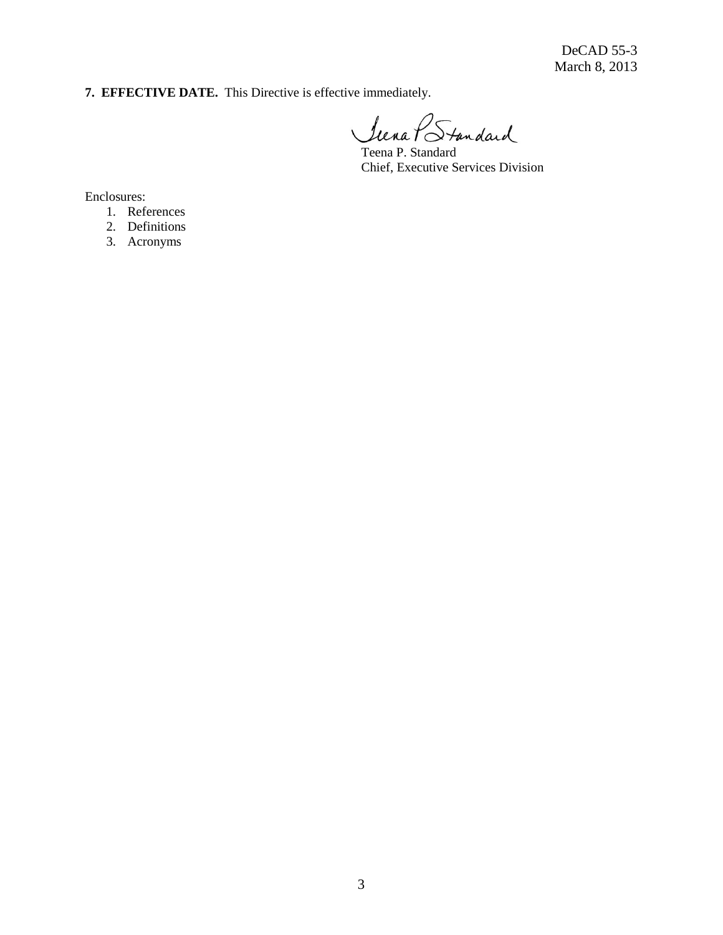DeCAD 55-3 March 8, 2013

**7. EFFECTIVE DATE.** This Directive is effective immediately.

Siena PStandard

Teena P. Standard Chief, Executive Services Division

Enclosures:

- 1. References
- 2. Definitions
- 3. Acronyms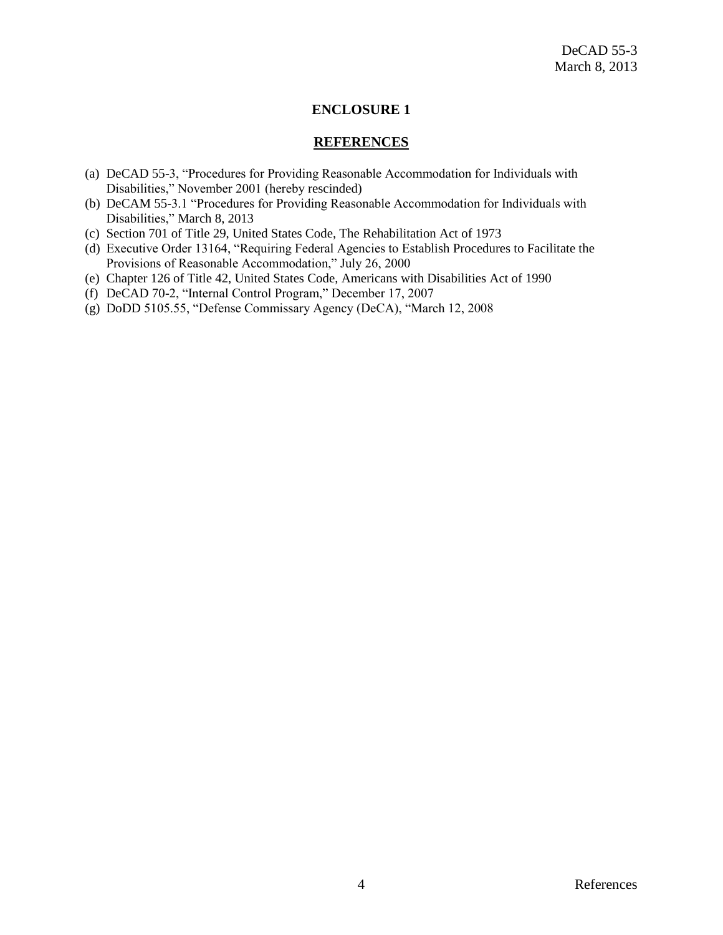#### **ENCLOSURE 1**

#### **REFERENCES**

- (a) DeCAD 55-3, "Procedures for Providing Reasonable Accommodation for Individuals with Disabilities," November 2001 (hereby rescinded)
- (b) DeCAM 55-3.1 "Procedures for Providing Reasonable Accommodation for Individuals with Disabilities," March 8, 2013
- (c) Section 701 of Title 29, United States Code, The Rehabilitation Act of 1973
- (d) Executive Order 13164, "Requiring Federal Agencies to Establish Procedures to Facilitate the Provisions of Reasonable Accommodation," July 26, 2000
- (e) Chapter 126 of Title 42, United States Code, Americans with Disabilities Act of 1990
- (f) DeCAD 70-2, "Internal Control Program," December 17, 2007
- (g) DoDD 5105.55, "Defense Commissary Agency (DeCA), "March 12, 2008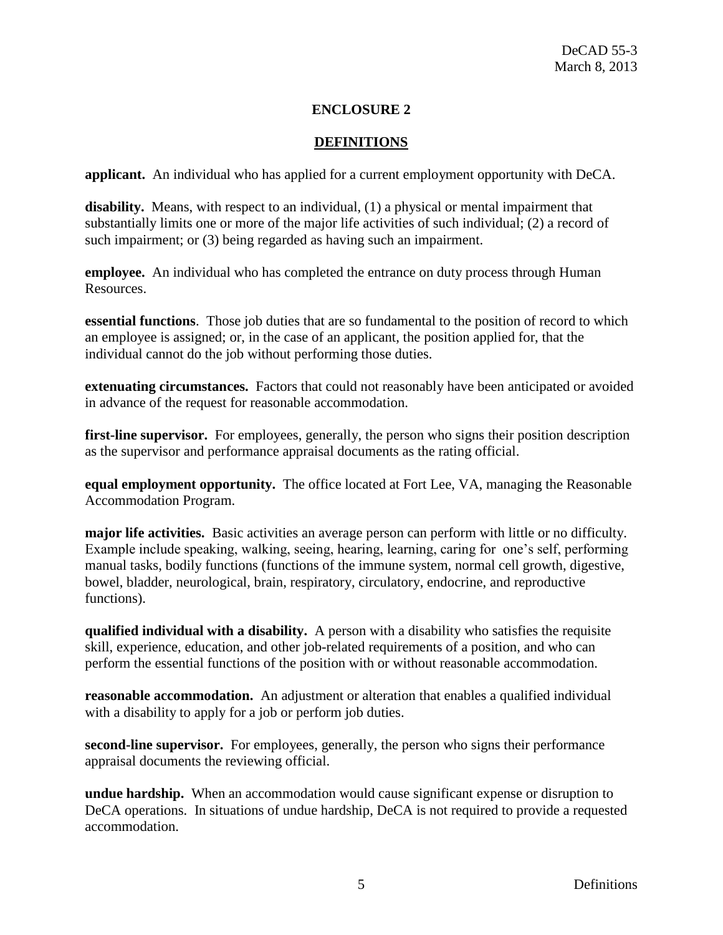## **ENCLOSURE 2**

### **DEFINITIONS**

**applicant.** An individual who has applied for a current employment opportunity with DeCA.

**disability.** Means, with respect to an individual, (1) a physical or mental impairment that substantially limits one or more of the major life activities of such individual; (2) a record of such impairment; or (3) being regarded as having such an impairment.

**employee.** An individual who has completed the entrance on duty process through Human Resources.

**essential functions**. Those job duties that are so fundamental to the position of record to which an employee is assigned; or, in the case of an applicant, the position applied for, that the individual cannot do the job without performing those duties.

**extenuating circumstances.** Factors that could not reasonably have been anticipated or avoided in advance of the request for reasonable accommodation.

**first-line supervisor.** For employees, generally, the person who signs their position description as the supervisor and performance appraisal documents as the rating official.

**equal employment opportunity.** The office located at Fort Lee, VA, managing the Reasonable Accommodation Program.

**major life activities.** Basic activities an average person can perform with little or no difficulty. Example include speaking, walking, seeing, hearing, learning, caring for one's self, performing manual tasks, bodily functions (functions of the immune system, normal cell growth, digestive, bowel, bladder, neurological, brain, respiratory, circulatory, endocrine, and reproductive functions).

**qualified individual with a disability.** A person with a disability who satisfies the requisite skill, experience, education, and other job-related requirements of a position, and who can perform the essential functions of the position with or without reasonable accommodation.

**reasonable accommodation.** An adjustment or alteration that enables a qualified individual with a disability to apply for a job or perform job duties.

**second-line supervisor.** For employees, generally, the person who signs their performance appraisal documents the reviewing official.

**undue hardship.** When an accommodation would cause significant expense or disruption to DeCA operations. In situations of undue hardship, DeCA is not required to provide a requested accommodation.